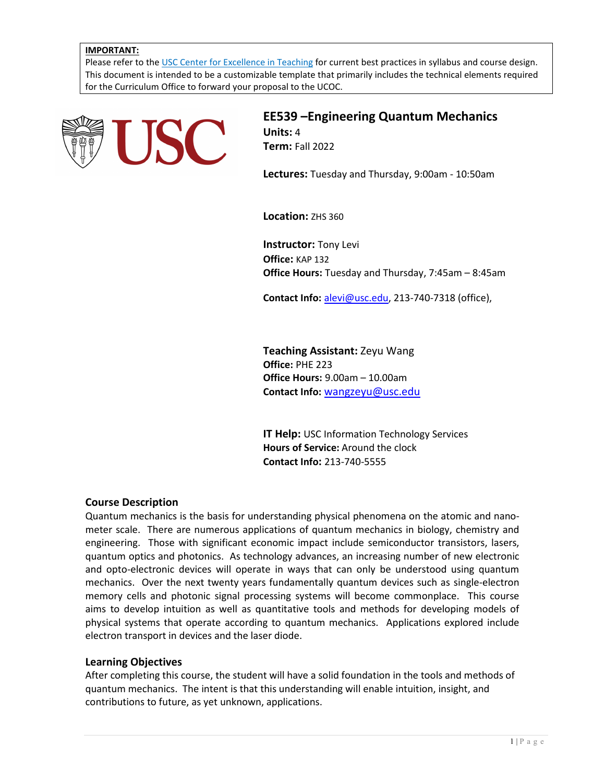### **IMPORTANT:**

Please refer to th[e USC Center for Excellence in Teaching](http://cet.usc.edu/) for current best practices in syllabus and course design. This document is intended to be a customizable template that primarily includes the technical elements required for the Curriculum Office to forward your proposal to the UCOC.



**EE539 –Engineering Quantum Mechanics Units:** 4 **Term:** Fall 2022

**Lectures:** Tuesday and Thursday, 9:00am - 10:50am

**Location:** ZHS 360

**Instructor:** Tony Levi **Office:** KAP 132 **Office Hours:** Tuesday and Thursday, 7:45am – 8:45am

**Contact Info:** [alevi@usc.edu,](mailto:alevi@usc.edu) 213-740-7318 (office),

**Teaching Assistant:** Zeyu Wang **Office:** PHE 223 **Office Hours:** 9.00am – 10.00am **Contact Info:** [wangzeyu@usc.edu](mailto:wangzeyu@usc.edu)

**IT Help:** USC Information Technology Services **Hours of Service:** Around the clock **Contact Info:** 213-740-5555

# **Course Description**

Quantum mechanics is the basis for understanding physical phenomena on the atomic and nanometer scale. There are numerous applications of quantum mechanics in biology, chemistry and engineering. Those with significant economic impact include semiconductor transistors, lasers, quantum optics and photonics. As technology advances, an increasing number of new electronic and opto-electronic devices will operate in ways that can only be understood using quantum mechanics. Over the next twenty years fundamentally quantum devices such as single-electron memory cells and photonic signal processing systems will become commonplace. This course aims to develop intuition as well as quantitative tools and methods for developing models of physical systems that operate according to quantum mechanics. Applications explored include electron transport in devices and the laser diode.

### **Learning Objectives**

After completing this course, the student will have a solid foundation in the tools and methods of quantum mechanics. The intent is that this understanding will enable intuition, insight, and contributions to future, as yet unknown, applications.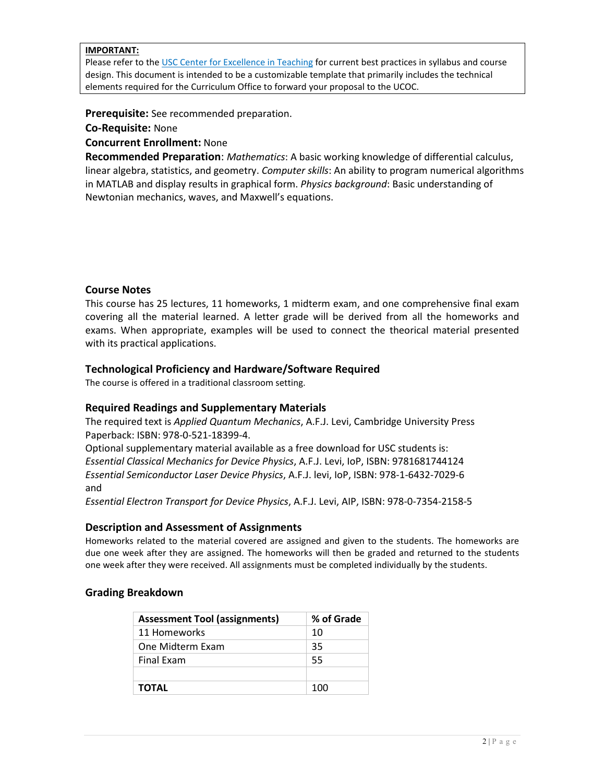### **IMPORTANT:**

Please refer to th[e USC Center for Excellence in Teaching](http://cet.usc.edu/) for current best practices in syllabus and course design. This document is intended to be a customizable template that primarily includes the technical elements required for the Curriculum Office to forward your proposal to the UCOC.

**Prerequisite:** See recommended preparation.

# **Co-Requisite:** None

**Concurrent Enrollment:** None

**Recommended Preparation**: *Mathematics*: A basic working knowledge of differential calculus, linear algebra, statistics, and geometry. *Computer skills*: An ability to program numerical algorithms in MATLAB and display results in graphical form. *Physics background*: Basic understanding of Newtonian mechanics, waves, and Maxwell's equations.

# **Course Notes**

This course has 25 lectures, 11 homeworks, 1 midterm exam, and one comprehensive final exam covering all the material learned. A letter grade will be derived from all the homeworks and exams. When appropriate, examples will be used to connect the theorical material presented with its practical applications.

# **Technological Proficiency and Hardware/Software Required**

The course is offered in a traditional classroom setting.

# **Required Readings and Supplementary Materials**

The required text is *Applied Quantum Mechanics*, A.F.J. Levi, Cambridge University Press Paperback: ISBN: 978-0-521-18399-4.

Optional supplementary material available as a free download for USC students is: *Essential Classical Mechanics for Device Physics*, A.F.J. Levi, IoP, ISBN: 9781681744124 *Essential Semiconductor Laser Device Physics*, A.F.J. levi, IoP, ISBN: 978-1-6432-7029-6 and

*Essential Electron Transport for Device Physics*, A.F.J. Levi, AIP, ISBN: 978-0-7354-2158-5

# **Description and Assessment of Assignments**

Homeworks related to the material covered are assigned and given to the students. The homeworks are due one week after they are assigned. The homeworks will then be graded and returned to the students one week after they were received. All assignments must be completed individually by the students.

# **Grading Breakdown**

| <b>Assessment Tool (assignments)</b> | % of Grade |
|--------------------------------------|------------|
| 11 Homeworks                         | 10         |
| One Midterm Exam                     | -35        |
| <b>Final Exam</b>                    | -55        |
|                                      |            |
| <b>TOTAL</b>                         | 100        |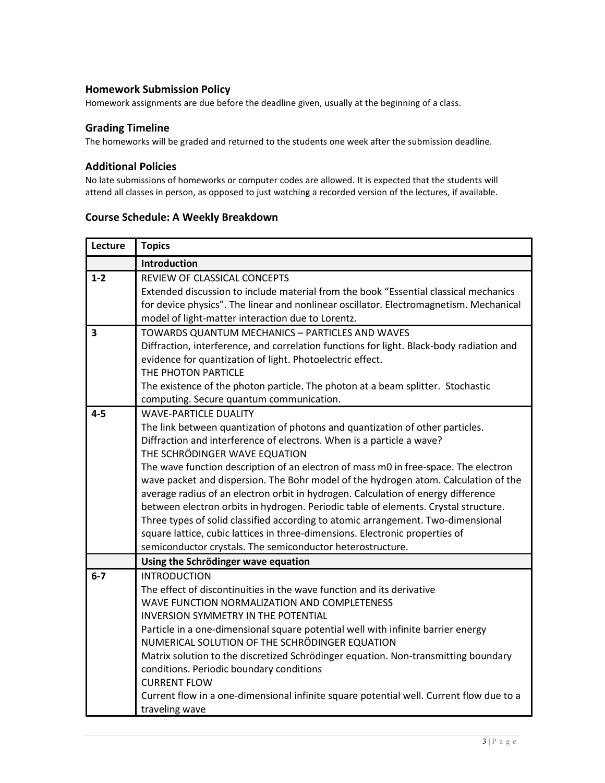# **Homework Submission Policy**

Homework assignments are due before the deadline given, usually at the beginning of a class.

# **Grading Timeline**

The homeworks will be graded and returned to the students one week after the submission deadline.

# **Additional Policies**

No late submissions of homeworks or computer codes are allowed. It is expected that the students will attend all classes in person, as opposed to just watching a recorded version of the lectures, if available.

# **Lecture Topics Introduction 1-2** REVIEW OF CLASSICAL CONCEPTS Extended discussion to include material from the book "Essential classical mechanics for device physics". The linear and nonlinear oscillator. Electromagnetism. Mechanical model of light-matter interaction due to Lorentz. **3** TOWARDS QUANTUM MECHANICS – PARTICLES AND WAVES Diffraction, interference, and correlation functions for light. Black-body radiation and evidence for quantization of light. Photoelectric effect. THE PHOTON PARTICLE The existence of the photon particle. The photon at a beam splitter. Stochastic computing. Secure quantum communication. **4-5** WAVE-PARTICLE DUALITY The link between quantization of photons and quantization of other particles. Diffraction and interference of electrons. When is a particle a wave? THE SCHRÖDINGER WAVE EQUATION The wave function description of an electron of mass m0 in free-space. The electron wave packet and dispersion. The Bohr model of the hydrogen atom. Calculation of the average radius of an electron orbit in hydrogen. Calculation of energy difference between electron orbits in hydrogen. Periodic table of elements. Crystal structure. Three types of solid classified according to atomic arrangement. Two-dimensional square lattice, cubic lattices in three-dimensions. Electronic properties of semiconductor crystals. The semiconductor heterostructure. **Using the Schrödinger wave equation 6-7** INTRODUCTION The effect of discontinuities in the wave function and its derivative WAVE FUNCTION NORMALIZATION AND COMPLETENESS INVERSION SYMMETRY IN THE POTENTIAL Particle in a one-dimensional square potential well with infinite barrier energy NUMERICAL SOLUTION OF THE SCHRÖDINGER EQUATION Matrix solution to the discretized Schrödinger equation. Non-transmitting boundary conditions. Periodic boundary conditions CURRENT FLOW Current flow in a one-dimensional infinite square potential well. Current flow due to a traveling wave

# **Course Schedule: A Weekly Breakdown**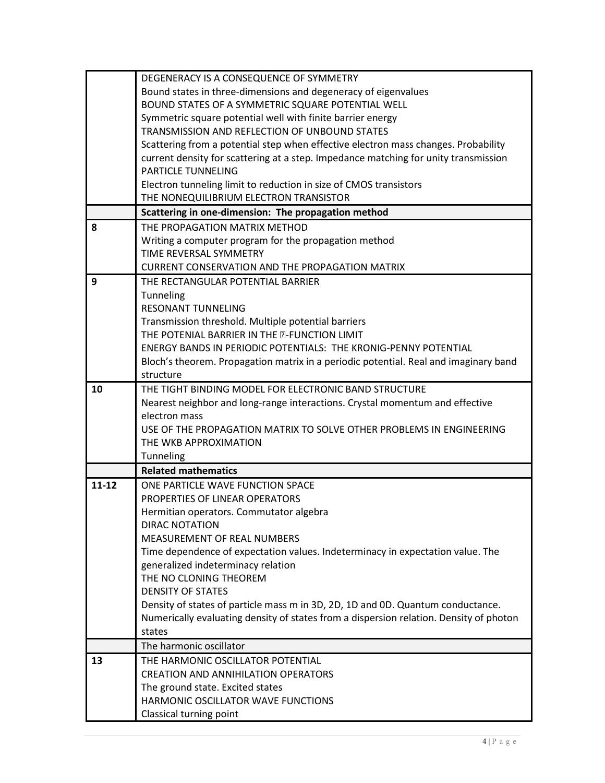|           | DEGENERACY IS A CONSEQUENCE OF SYMMETRY                                                                    |
|-----------|------------------------------------------------------------------------------------------------------------|
|           | Bound states in three-dimensions and degeneracy of eigenvalues                                             |
|           | BOUND STATES OF A SYMMETRIC SQUARE POTENTIAL WELL                                                          |
|           | Symmetric square potential well with finite barrier energy                                                 |
|           | TRANSMISSION AND REFLECTION OF UNBOUND STATES                                                              |
|           | Scattering from a potential step when effective electron mass changes. Probability                         |
|           | current density for scattering at a step. Impedance matching for unity transmission                        |
|           | PARTICLE TUNNELING                                                                                         |
|           | Electron tunneling limit to reduction in size of CMOS transistors                                          |
|           | THE NONEQUILIBRIUM ELECTRON TRANSISTOR                                                                     |
|           | Scattering in one-dimension: The propagation method                                                        |
| 8         | THE PROPAGATION MATRIX METHOD                                                                              |
|           | Writing a computer program for the propagation method                                                      |
|           | TIME REVERSAL SYMMETRY                                                                                     |
|           | <b>CURRENT CONSERVATION AND THE PROPAGATION MATRIX</b>                                                     |
| 9         | THE RECTANGULAR POTENTIAL BARRIER                                                                          |
|           | Tunneling                                                                                                  |
|           | RESONANT TUNNELING                                                                                         |
|           | Transmission threshold. Multiple potential barriers<br>THE POTENIAL BARRIER IN THE <b>D-FUNCTION LIMIT</b> |
|           | ENERGY BANDS IN PERIODIC POTENTIALS: THE KRONIG-PENNY POTENTIAL                                            |
|           |                                                                                                            |
|           | Bloch's theorem. Propagation matrix in a periodic potential. Real and imaginary band<br>structure          |
| 10        | THE TIGHT BINDING MODEL FOR ELECTRONIC BAND STRUCTURE                                                      |
|           | Nearest neighbor and long-range interactions. Crystal momentum and effective                               |
|           | electron mass                                                                                              |
|           | USE OF THE PROPAGATION MATRIX TO SOLVE OTHER PROBLEMS IN ENGINEERING                                       |
|           | THE WKB APPROXIMATION                                                                                      |
|           | Tunneling                                                                                                  |
|           | <b>Related mathematics</b>                                                                                 |
| $11 - 12$ | ONE PARTICLE WAVE FUNCTION SPACE                                                                           |
|           | PROPERTIES OF LINEAR OPERATORS                                                                             |
|           | Hermitian operators. Commutator algebra                                                                    |
|           | <b>DIRAC NOTATION</b>                                                                                      |
|           | MEASUREMENT OF REAL NUMBERS                                                                                |
|           | Time dependence of expectation values. Indeterminacy in expectation value. The                             |
|           | generalized indeterminacy relation                                                                         |
|           | THE NO CLONING THEOREM                                                                                     |
|           | <b>DENSITY OF STATES</b>                                                                                   |
|           | Density of states of particle mass m in 3D, 2D, 1D and 0D. Quantum conductance.                            |
|           | Numerically evaluating density of states from a dispersion relation. Density of photon                     |
|           | states                                                                                                     |
|           | The harmonic oscillator                                                                                    |
| 13        | THE HARMONIC OSCILLATOR POTENTIAL                                                                          |
|           | <b>CREATION AND ANNIHILATION OPERATORS</b>                                                                 |
|           | The ground state. Excited states<br>HARMONIC OSCILLATOR WAVE FUNCTIONS                                     |
|           |                                                                                                            |
|           | Classical turning point                                                                                    |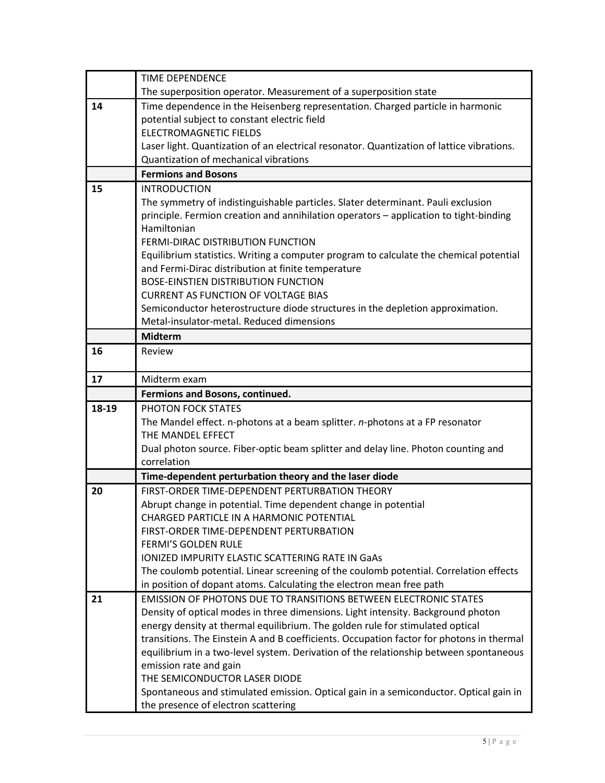|       | TIME DEPENDENCE                                                                                                                              |
|-------|----------------------------------------------------------------------------------------------------------------------------------------------|
|       | The superposition operator. Measurement of a superposition state                                                                             |
| 14    | Time dependence in the Heisenberg representation. Charged particle in harmonic                                                               |
|       | potential subject to constant electric field                                                                                                 |
|       | <b>ELECTROMAGNETIC FIELDS</b>                                                                                                                |
|       | Laser light. Quantization of an electrical resonator. Quantization of lattice vibrations.                                                    |
|       | Quantization of mechanical vibrations                                                                                                        |
|       | <b>Fermions and Bosons</b>                                                                                                                   |
| 15    | <b>INTRODUCTION</b>                                                                                                                          |
|       | The symmetry of indistinguishable particles. Slater determinant. Pauli exclusion                                                             |
|       | principle. Fermion creation and annihilation operators - application to tight-binding                                                        |
|       | Hamiltonian                                                                                                                                  |
|       | FERMI-DIRAC DISTRIBUTION FUNCTION                                                                                                            |
|       | Equilibrium statistics. Writing a computer program to calculate the chemical potential<br>and Fermi-Dirac distribution at finite temperature |
|       | <b>BOSE-EINSTIEN DISTRIBUTION FUNCTION</b>                                                                                                   |
|       | <b>CURRENT AS FUNCTION OF VOLTAGE BIAS</b>                                                                                                   |
|       | Semiconductor heterostructure diode structures in the depletion approximation.                                                               |
|       | Metal-insulator-metal. Reduced dimensions                                                                                                    |
|       | <b>Midterm</b>                                                                                                                               |
| 16    | Review                                                                                                                                       |
|       |                                                                                                                                              |
| 17    | Midterm exam                                                                                                                                 |
|       | Fermions and Bosons, continued.                                                                                                              |
| 18-19 | PHOTON FOCK STATES                                                                                                                           |
|       | The Mandel effect. n-photons at a beam splitter. n-photons at a FP resonator                                                                 |
|       | THE MANDEL EFFECT                                                                                                                            |
|       | Dual photon source. Fiber-optic beam splitter and delay line. Photon counting and                                                            |
|       | correlation                                                                                                                                  |
|       | Time-dependent perturbation theory and the laser diode                                                                                       |
| 20    | FIRST-ORDER TIME-DEPENDENT PERTURBATION THEORY                                                                                               |
|       | Abrupt change in potential. Time dependent change in potential                                                                               |
|       | CHARGED PARTICLE IN A HARMONIC POTENTIAL                                                                                                     |
|       | FIRST-ORDER TIME-DEPENDENT PERTURBATION<br>FERMI'S GOLDEN RULE                                                                               |
|       | IONIZED IMPURITY ELASTIC SCATTERING RATE IN GaAs                                                                                             |
|       | The coulomb potential. Linear screening of the coulomb potential. Correlation effects                                                        |
|       | in position of dopant atoms. Calculating the electron mean free path                                                                         |
| 21    | <b>EMISSION OF PHOTONS DUE TO TRANSITIONS BETWEEN ELECTRONIC STATES</b>                                                                      |
|       | Density of optical modes in three dimensions. Light intensity. Background photon                                                             |
|       | energy density at thermal equilibrium. The golden rule for stimulated optical                                                                |
|       | transitions. The Einstein A and B coefficients. Occupation factor for photons in thermal                                                     |
|       | equilibrium in a two-level system. Derivation of the relationship between spontaneous                                                        |
|       | emission rate and gain                                                                                                                       |
|       | THE SEMICONDUCTOR LASER DIODE                                                                                                                |
|       | Spontaneous and stimulated emission. Optical gain in a semiconductor. Optical gain in                                                        |
|       | the presence of electron scattering                                                                                                          |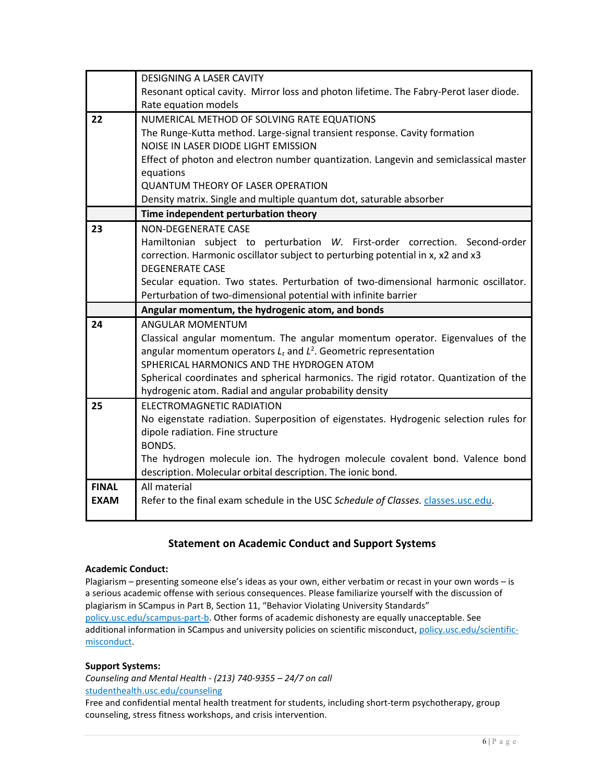|              | <b>DESIGNING A LASER CAVITY</b>                                                        |
|--------------|----------------------------------------------------------------------------------------|
|              | Resonant optical cavity. Mirror loss and photon lifetime. The Fabry-Perot laser diode. |
|              | Rate equation models                                                                   |
| 22           | NUMERICAL METHOD OF SOLVING RATE EQUATIONS                                             |
|              | The Runge-Kutta method. Large-signal transient response. Cavity formation              |
|              | NOISE IN LASER DIODE LIGHT EMISSION                                                    |
|              | Effect of photon and electron number quantization. Langevin and semiclassical master   |
|              | equations                                                                              |
|              | <b>QUANTUM THEORY OF LASER OPERATION</b>                                               |
|              | Density matrix. Single and multiple quantum dot, saturable absorber                    |
|              | Time independent perturbation theory                                                   |
| 23           | NON-DEGENERATE CASE                                                                    |
|              | Hamiltonian subject to perturbation W. First-order correction. Second-order            |
|              | correction. Harmonic oscillator subject to perturbing potential in x, x2 and x3        |
|              | <b>DEGENERATE CASE</b>                                                                 |
|              | Secular equation. Two states. Perturbation of two-dimensional harmonic oscillator.     |
|              | Perturbation of two-dimensional potential with infinite barrier                        |
|              | Angular momentum, the hydrogenic atom, and bonds                                       |
| 24           | <b>ANGULAR MOMENTUM</b>                                                                |
|              | Classical angular momentum. The angular momentum operator. Eigenvalues of the          |
|              | angular momentum operators $L_z$ and $L^2$ . Geometric representation                  |
|              | SPHERICAL HARMONICS AND THE HYDROGEN ATOM                                              |
|              | Spherical coordinates and spherical harmonics. The rigid rotator. Quantization of the  |
|              | hydrogenic atom. Radial and angular probability density                                |
| 25           | <b>ELECTROMAGNETIC RADIATION</b>                                                       |
|              | No eigenstate radiation. Superposition of eigenstates. Hydrogenic selection rules for  |
|              | dipole radiation. Fine structure<br>BONDS.                                             |
|              | The hydrogen molecule ion. The hydrogen molecule covalent bond. Valence bond           |
|              | description. Molecular orbital description. The ionic bond.                            |
| <b>FINAL</b> | All material                                                                           |
| <b>EXAM</b>  | Refer to the final exam schedule in the USC Schedule of Classes. classes.usc.edu.      |
|              |                                                                                        |

# **Statement on Academic Conduct and Support Systems**

### **Academic Conduct:**

Plagiarism – presenting someone else's ideas as your own, either verbatim or recast in your own words – is a serious academic offense with serious consequences. Please familiarize yourself with the discussion of plagiarism in SCampus in Part B, Section 11, "Behavior Violating University Standards" [policy.usc.edu/scampus-part-b.](https://policy.usc.edu/scampus-part-b/) Other forms of academic dishonesty are equally unacceptable. See additional information in SCampus and university policies on scientific misconduct[, policy.usc.edu/scientific](http://policy.usc.edu/scientific-misconduct)[misconduct.](http://policy.usc.edu/scientific-misconduct)

# **Support Systems:**

*Counseling and Mental Health - (213) 740-9355 – 24/7 on call* [studenthealth.usc.edu/counseling](https://studenthealth.usc.edu/counseling/)

Free and confidential mental health treatment for students, including short-term psychotherapy, group counseling, stress fitness workshops, and crisis intervention.